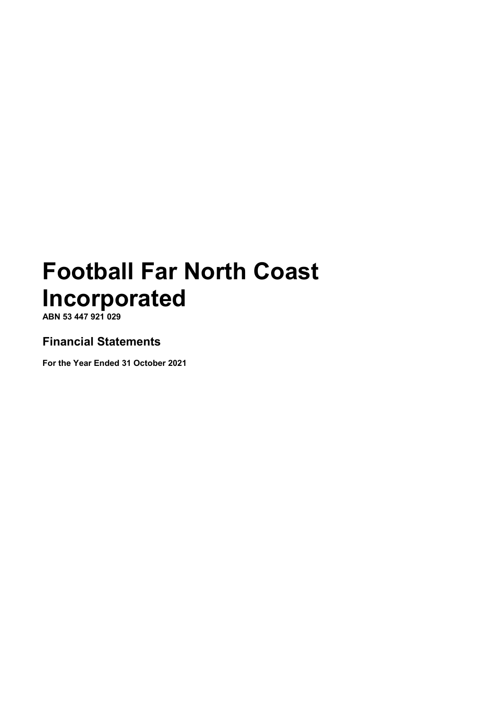ABN 53 447 921 029

# Financial Statements

For the Year Ended 31 October 2021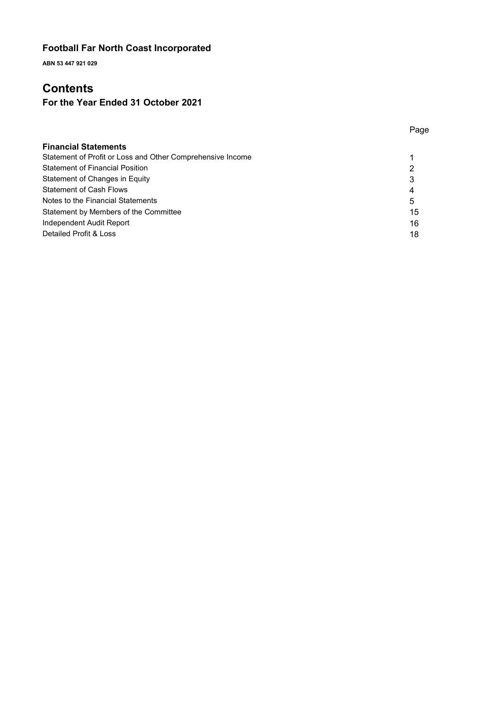ABN 53 447 921 029

# **Contents**

# For the Year Ended 31 October 2021

|                                                            | Page |
|------------------------------------------------------------|------|
| <b>Financial Statements</b>                                |      |
| Statement of Profit or Loss and Other Comprehensive Income |      |
| <b>Statement of Financial Position</b>                     | າ    |
| Statement of Changes in Equity                             | 3    |
| <b>Statement of Cash Flows</b>                             | 4    |
| Notes to the Financial Statements                          | 5    |

Statement by Members of the Committee 15 Independent Audit Report 16 Detailed Profit & Loss 28 and 28 and 28 and 28 and 28 and 28 and 28 and 28 and 28 and 28 and 28 and 28 and 28 and 28 and 28 and 28 and 28 and 28 and 28 and 28 and 28 and 28 and 28 and 28 and 28 and 28 and 28 and 28 and 28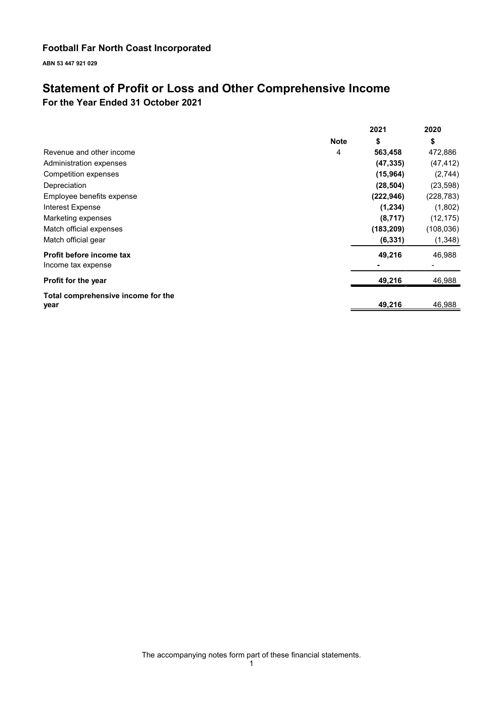ABN 53 447 921 029

# Statement of Profit or Loss and Other Comprehensive Income

For the Year Ended 31 October 2021

|                                    |             | 2021       | 2020       |
|------------------------------------|-------------|------------|------------|
|                                    | <b>Note</b> | \$         | \$         |
| Revenue and other income           | 4           | 563,458    | 472,886    |
| Administration expenses            |             | (47, 335)  | (47, 412)  |
| Competition expenses               |             | (15, 964)  | (2,744)    |
| Depreciation                       |             | (28, 504)  | (23, 598)  |
| Employee benefits expense          |             | (222, 946) | (228, 783) |
| Interest Expense                   |             | (1, 234)   | (1,802)    |
| Marketing expenses                 |             | (8,717)    | (12, 175)  |
| Match official expenses            |             | (183, 209) | (108, 036) |
| Match official gear                |             | (6, 331)   | (1,348)    |
| Profit before income tax           |             | 49,216     | 46,988     |
| Income tax expense                 |             |            |            |
| <b>Profit for the year</b>         |             | 49,216     | 46,988     |
| Total comprehensive income for the |             |            |            |
| year                               |             | 49,216     | 46,988     |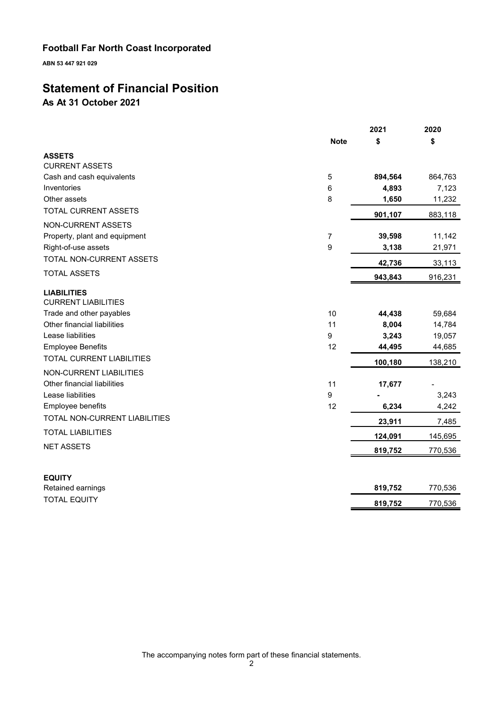ABN 53 447 921 029

# Statement of Financial Position

As At 31 October 2021

|                                                  |                | 2021    | 2020    |
|--------------------------------------------------|----------------|---------|---------|
|                                                  | <b>Note</b>    | \$      | \$      |
| <b>ASSETS</b>                                    |                |         |         |
| <b>CURRENT ASSETS</b>                            |                |         |         |
| Cash and cash equivalents                        | 5              | 894,564 | 864,763 |
| Inventories                                      | 6              | 4,893   | 7,123   |
| Other assets                                     | 8              | 1,650   | 11,232  |
| TOTAL CURRENT ASSETS                             |                | 901,107 | 883,118 |
| <b>NON-CURRENT ASSETS</b>                        |                |         |         |
| Property, plant and equipment                    | $\overline{7}$ | 39,598  | 11,142  |
| Right-of-use assets                              | 9              | 3,138   | 21,971  |
| TOTAL NON-CURRENT ASSETS                         |                | 42,736  | 33,113  |
| <b>TOTAL ASSETS</b>                              |                | 943,843 | 916,231 |
| <b>LIABILITIES</b><br><b>CURRENT LIABILITIES</b> |                |         |         |
| Trade and other payables                         | 10             | 44,438  | 59,684  |
| Other financial liabilities                      | 11             | 8,004   | 14,784  |
| Lease liabilities                                | 9              | 3,243   | 19,057  |
| <b>Employee Benefits</b>                         | 12             | 44,495  | 44,685  |
| <b>TOTAL CURRENT LIABILITIES</b>                 |                | 100,180 | 138,210 |
| NON-CURRENT LIABILITIES                          |                |         |         |
| Other financial liabilities                      | 11             | 17,677  |         |
| Lease liabilities                                | 9              |         | 3,243   |
| Employee benefits                                | 12             | 6,234   | 4,242   |
| TOTAL NON-CURRENT LIABILITIES                    |                | 23,911  | 7,485   |
| <b>TOTAL LIABILITIES</b>                         |                | 124,091 | 145,695 |
| <b>NET ASSETS</b>                                |                | 819,752 | 770,536 |
|                                                  |                |         |         |
| <b>EQUITY</b>                                    |                |         |         |
| Retained earnings                                |                | 819,752 | 770,536 |
| <b>TOTAL EQUITY</b>                              |                | 819,752 | 770,536 |
|                                                  |                |         |         |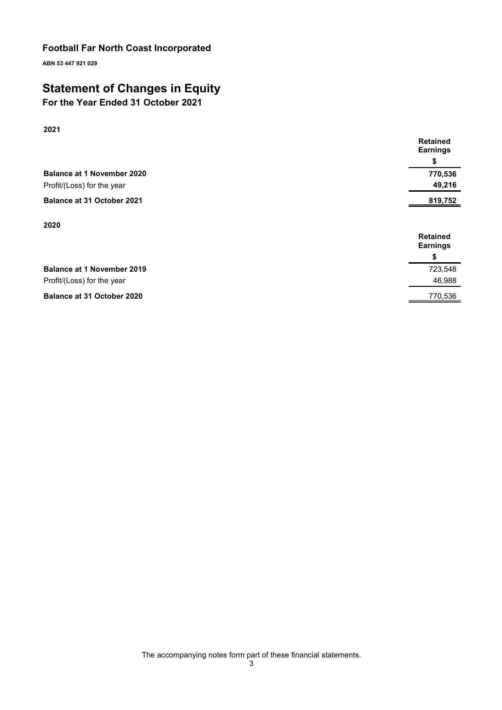ABN 53 447 921 029

# Statement of Changes in Equity

For the Year Ended 31 October 2021

| 2021                              |                                    |
|-----------------------------------|------------------------------------|
|                                   | <b>Retained</b><br><b>Earnings</b> |
|                                   | \$                                 |
| <b>Balance at 1 November 2020</b> | 770,536                            |
| Profit/(Loss) for the year        | 49,216                             |
| <b>Balance at 31 October 2021</b> | 819,752                            |
|                                   |                                    |
| 2020                              | <b>Retained</b>                    |
|                                   | <b>Earnings</b>                    |
|                                   | \$                                 |
| <b>Balance at 1 November 2019</b> | 723,548                            |
| Profit/(Loss) for the year        | 46,988                             |
| Balance at 31 October 2020        | 770,536                            |

The accompanying notes form part of these financial statements.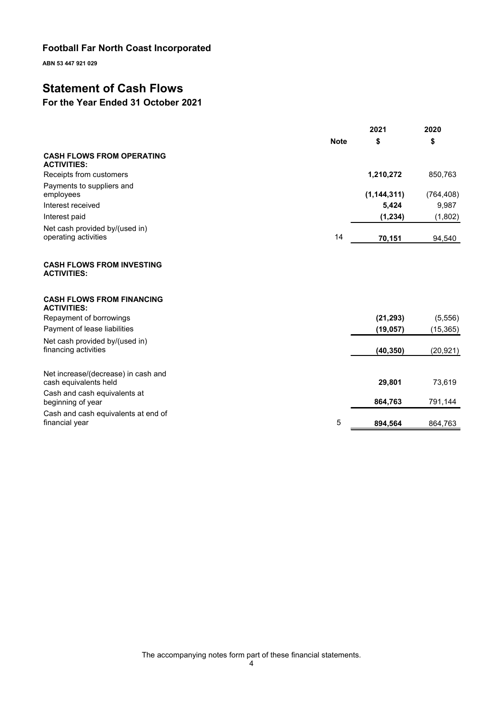ABN 53 447 921 029

# Statement of Cash Flows

# For the Year Ended 31 October 2021

|                                                              |             | 2021          | 2020       |
|--------------------------------------------------------------|-------------|---------------|------------|
|                                                              | <b>Note</b> | \$            | \$         |
| <b>CASH FLOWS FROM OPERATING</b><br><b>ACTIVITIES:</b>       |             |               |            |
| Receipts from customers                                      |             | 1,210,272     | 850,763    |
| Payments to suppliers and<br>employees                       |             | (1, 144, 311) | (764, 408) |
| Interest received                                            |             | 5,424         | 9,987      |
| Interest paid                                                |             | (1, 234)      | (1,802)    |
| Net cash provided by/(used in)<br>operating activities       | 14          | 70,151        | 94,540     |
| <b>CASH FLOWS FROM INVESTING</b><br><b>ACTIVITIES:</b>       |             |               |            |
| <b>CASH FLOWS FROM FINANCING</b><br><b>ACTIVITIES:</b>       |             |               |            |
| Repayment of borrowings                                      |             | (21, 293)     | (5, 556)   |
| Payment of lease liabilities                                 |             | (19, 057)     | (15, 365)  |
| Net cash provided by/(used in)<br>financing activities       |             | (40, 350)     | (20, 921)  |
| Net increase/(decrease) in cash and<br>cash equivalents held |             | 29,801        | 73,619     |
| Cash and cash equivalents at<br>beginning of year            |             | 864,763       | 791,144    |
| Cash and cash equivalents at end of<br>financial year        | 5           | 894,564       | 864,763    |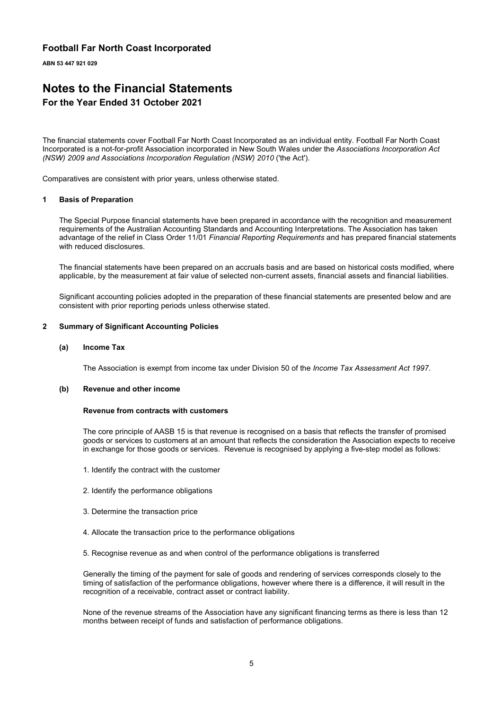ABN 53 447 921 029

# Notes to the Financial Statements

#### For the Year Ended 31 October 2021

The financial statements cover Football Far North Coast Incorporated as an individual entity. Football Far North Coast Incorporated is a not-for-profit Association incorporated in New South Wales under the Associations Incorporation Act (NSW) 2009 and Associations Incorporation Regulation (NSW) 2010 ('the Act').

Comparatives are consistent with prior years, unless otherwise stated.

#### 1 Basis of Preparation

The Special Purpose financial statements have been prepared in accordance with the recognition and measurement requirements of the Australian Accounting Standards and Accounting Interpretations. The Association has taken advantage of the relief in Class Order 11/01 Financial Reporting Requirements and has prepared financial statements with reduced disclosures.

The financial statements have been prepared on an accruals basis and are based on historical costs modified, where applicable, by the measurement at fair value of selected non-current assets, financial assets and financial liabilities.

Significant accounting policies adopted in the preparation of these financial statements are presented below and are consistent with prior reporting periods unless otherwise stated.

#### 2 Summary of Significant Accounting Policies

#### (a) Income Tax

The Association is exempt from income tax under Division 50 of the Income Tax Assessment Act 1997.

#### (b) Revenue and other income

#### Revenue from contracts with customers

The core principle of AASB 15 is that revenue is recognised on a basis that reflects the transfer of promised goods or services to customers at an amount that reflects the consideration the Association expects to receive in exchange for those goods or services. Revenue is recognised by applying a five-step model as follows:

- 1. Identify the contract with the customer
- 2. Identify the performance obligations
- 3. Determine the transaction price
- 4. Allocate the transaction price to the performance obligations
- 5. Recognise revenue as and when control of the performance obligations is transferred

Generally the timing of the payment for sale of goods and rendering of services corresponds closely to the timing of satisfaction of the performance obligations, however where there is a difference, it will result in the recognition of a receivable, contract asset or contract liability.

None of the revenue streams of the Association have any significant financing terms as there is less than 12 months between receipt of funds and satisfaction of performance obligations.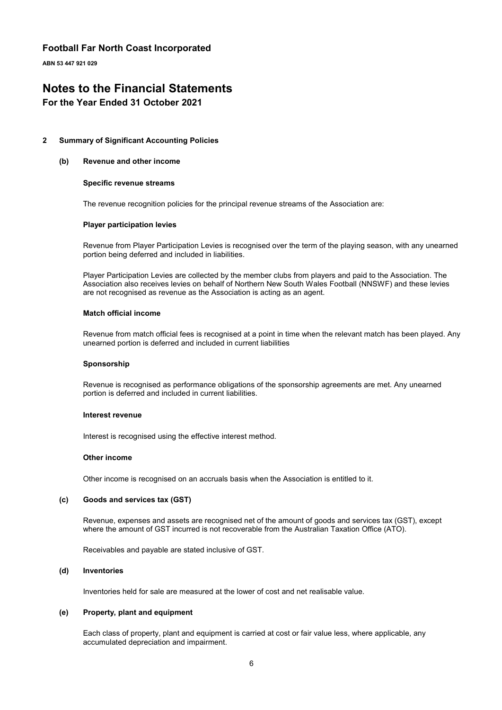ABN 53 447 921 029

# Notes to the Financial Statements

#### For the Year Ended 31 October 2021

#### 2 Summary of Significant Accounting Policies

#### (b) Revenue and other income

#### Specific revenue streams

The revenue recognition policies for the principal revenue streams of the Association are:

#### Player participation levies

Revenue from Player Participation Levies is recognised over the term of the playing season, with any unearned portion being deferred and included in liabilities.

Player Participation Levies are collected by the member clubs from players and paid to the Association. The Association also receives levies on behalf of Northern New South Wales Football (NNSWF) and these levies are not recognised as revenue as the Association is acting as an agent.

#### Match official income

Revenue from match official fees is recognised at a point in time when the relevant match has been played. Any unearned portion is deferred and included in current liabilities

#### Sponsorship

Revenue is recognised as performance obligations of the sponsorship agreements are met. Any unearned portion is deferred and included in current liabilities.

#### Interest revenue

Interest is recognised using the effective interest method.

#### Other income

Other income is recognised on an accruals basis when the Association is entitled to it.

#### (c) Goods and services tax (GST)

Revenue, expenses and assets are recognised net of the amount of goods and services tax (GST), except where the amount of GST incurred is not recoverable from the Australian Taxation Office (ATO).

Receivables and payable are stated inclusive of GST.

#### (d) Inventories

Inventories held for sale are measured at the lower of cost and net realisable value.

#### (e) Property, plant and equipment

Each class of property, plant and equipment is carried at cost or fair value less, where applicable, any accumulated depreciation and impairment.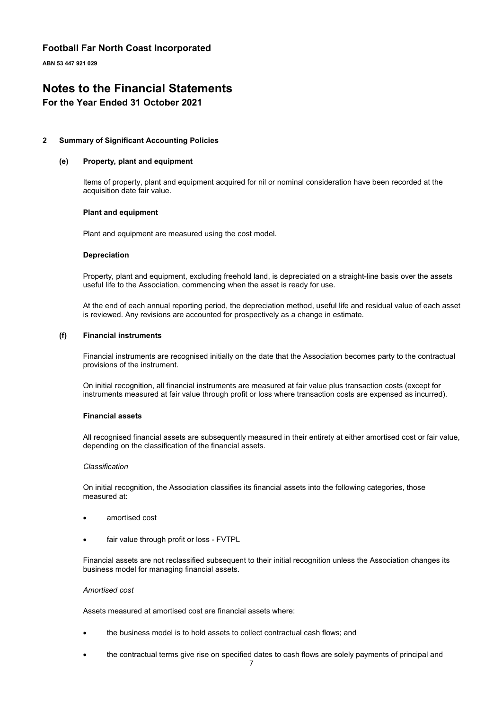ABN 53 447 921 029

# Notes to the Financial Statements

#### For the Year Ended 31 October 2021

#### 2 Summary of Significant Accounting Policies

#### (e) Property, plant and equipment

Items of property, plant and equipment acquired for nil or nominal consideration have been recorded at the acquisition date fair value.

#### Plant and equipment

Plant and equipment are measured using the cost model.

#### Depreciation

Property, plant and equipment, excluding freehold land, is depreciated on a straight-line basis over the assets useful life to the Association, commencing when the asset is ready for use.

At the end of each annual reporting period, the depreciation method, useful life and residual value of each asset is reviewed. Any revisions are accounted for prospectively as a change in estimate.

#### (f) Financial instruments

Financial instruments are recognised initially on the date that the Association becomes party to the contractual provisions of the instrument.

On initial recognition, all financial instruments are measured at fair value plus transaction costs (except for instruments measured at fair value through profit or loss where transaction costs are expensed as incurred).

#### Financial assets

All recognised financial assets are subsequently measured in their entirety at either amortised cost or fair value, depending on the classification of the financial assets.

#### **Classification**

On initial recognition, the Association classifies its financial assets into the following categories, those measured at:

- amortised cost
- fair value through profit or loss FVTPL

Financial assets are not reclassified subsequent to their initial recognition unless the Association changes its business model for managing financial assets.

#### Amortised cost

Assets measured at amortised cost are financial assets where:

- the business model is to hold assets to collect contractual cash flows; and
- the contractual terms give rise on specified dates to cash flows are solely payments of principal and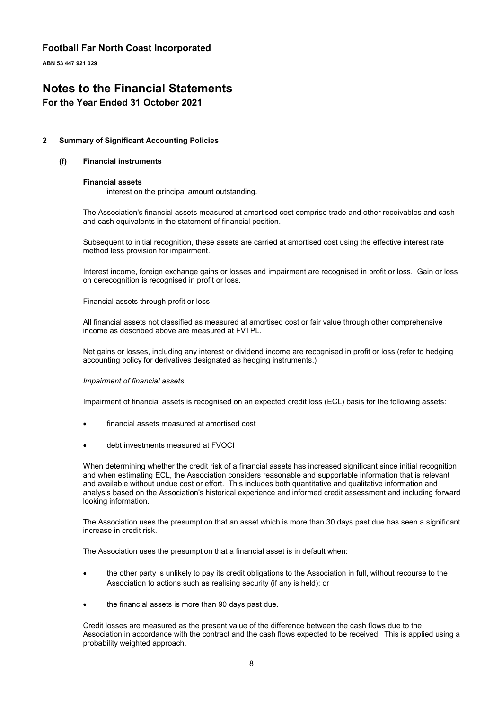ABN 53 447 921 029

# Notes to the Financial Statements

#### For the Year Ended 31 October 2021

#### 2 Summary of Significant Accounting Policies

#### (f) Financial instruments

#### Financial assets

interest on the principal amount outstanding.

The Association's financial assets measured at amortised cost comprise trade and other receivables and cash and cash equivalents in the statement of financial position.

Subsequent to initial recognition, these assets are carried at amortised cost using the effective interest rate method less provision for impairment.

Interest income, foreign exchange gains or losses and impairment are recognised in profit or loss. Gain or loss on derecognition is recognised in profit or loss.

Financial assets through profit or loss

All financial assets not classified as measured at amortised cost or fair value through other comprehensive income as described above are measured at FVTPL.

Net gains or losses, including any interest or dividend income are recognised in profit or loss (refer to hedging accounting policy for derivatives designated as hedging instruments.)

#### Impairment of financial assets

Impairment of financial assets is recognised on an expected credit loss (ECL) basis for the following assets:

- financial assets measured at amortised cost
- debt investments measured at FVOCI

When determining whether the credit risk of a financial assets has increased significant since initial recognition and when estimating ECL, the Association considers reasonable and supportable information that is relevant and available without undue cost or effort. This includes both quantitative and qualitative information and analysis based on the Association's historical experience and informed credit assessment and including forward looking information.

The Association uses the presumption that an asset which is more than 30 days past due has seen a significant increase in credit risk.

The Association uses the presumption that a financial asset is in default when:

- the other party is unlikely to pay its credit obligations to the Association in full, without recourse to the Association to actions such as realising security (if any is held); or
- the financial assets is more than 90 days past due.

Credit losses are measured as the present value of the difference between the cash flows due to the Association in accordance with the contract and the cash flows expected to be received. This is applied using a probability weighted approach.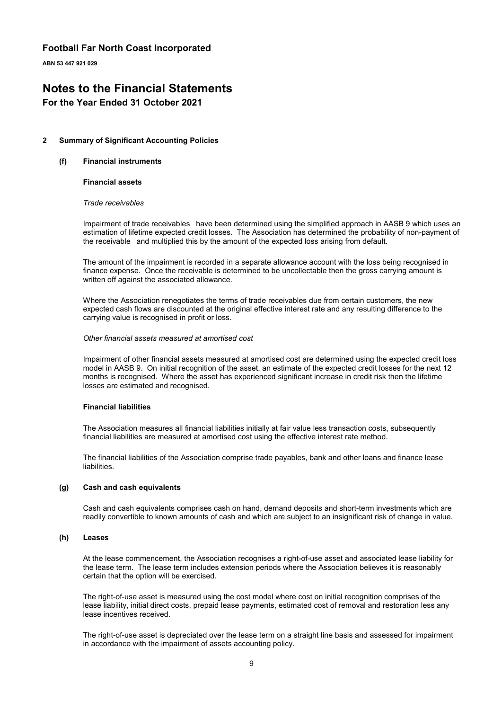ABN 53 447 921 029

# Notes to the Financial Statements

#### For the Year Ended 31 October 2021

#### 2 Summary of Significant Accounting Policies

#### (f) Financial instruments

#### Financial assets

#### Trade receivables

Impairment of trade receivables have been determined using the simplified approach in AASB 9 which uses an estimation of lifetime expected credit losses. The Association has determined the probability of non-payment of the receivable and multiplied this by the amount of the expected loss arising from default.

The amount of the impairment is recorded in a separate allowance account with the loss being recognised in finance expense. Once the receivable is determined to be uncollectable then the gross carrying amount is written off against the associated allowance.

Where the Association renegotiates the terms of trade receivables due from certain customers, the new expected cash flows are discounted at the original effective interest rate and any resulting difference to the carrying value is recognised in profit or loss.

#### Other financial assets measured at amortised cost

Impairment of other financial assets measured at amortised cost are determined using the expected credit loss model in AASB 9. On initial recognition of the asset, an estimate of the expected credit losses for the next 12 months is recognised. Where the asset has experienced significant increase in credit risk then the lifetime losses are estimated and recognised.

#### Financial liabilities

The Association measures all financial liabilities initially at fair value less transaction costs, subsequently financial liabilities are measured at amortised cost using the effective interest rate method.

The financial liabilities of the Association comprise trade payables, bank and other loans and finance lease liabilities.

#### (g) Cash and cash equivalents

Cash and cash equivalents comprises cash on hand, demand deposits and short-term investments which are readily convertible to known amounts of cash and which are subject to an insignificant risk of change in value.

#### (h) Leases

At the lease commencement, the Association recognises a right-of-use asset and associated lease liability for the lease term. The lease term includes extension periods where the Association believes it is reasonably certain that the option will be exercised.

The right-of-use asset is measured using the cost model where cost on initial recognition comprises of the lease liability, initial direct costs, prepaid lease payments, estimated cost of removal and restoration less any lease incentives received.

The right-of-use asset is depreciated over the lease term on a straight line basis and assessed for impairment in accordance with the impairment of assets accounting policy.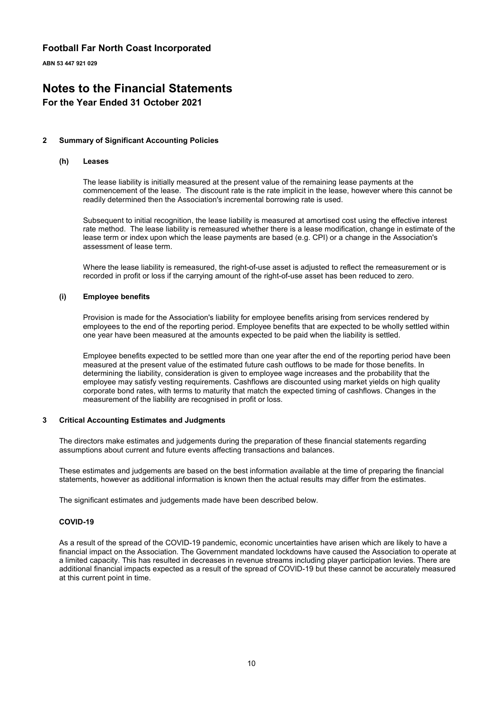ABN 53 447 921 029

# Notes to the Financial Statements

#### For the Year Ended 31 October 2021

#### 2 Summary of Significant Accounting Policies

#### (h) Leases

The lease liability is initially measured at the present value of the remaining lease payments at the commencement of the lease. The discount rate is the rate implicit in the lease, however where this cannot be readily determined then the Association's incremental borrowing rate is used.

Subsequent to initial recognition, the lease liability is measured at amortised cost using the effective interest rate method. The lease liability is remeasured whether there is a lease modification, change in estimate of the lease term or index upon which the lease payments are based (e.g. CPI) or a change in the Association's assessment of lease term.

Where the lease liability is remeasured, the right-of-use asset is adjusted to reflect the remeasurement or is recorded in profit or loss if the carrying amount of the right-of-use asset has been reduced to zero.

#### (i) Employee benefits

Provision is made for the Association's liability for employee benefits arising from services rendered by employees to the end of the reporting period. Employee benefits that are expected to be wholly settled within one year have been measured at the amounts expected to be paid when the liability is settled.

Employee benefits expected to be settled more than one year after the end of the reporting period have been measured at the present value of the estimated future cash outflows to be made for those benefits. In determining the liability, consideration is given to employee wage increases and the probability that the employee may satisfy vesting requirements. Cashflows are discounted using market yields on high quality corporate bond rates, with terms to maturity that match the expected timing of cashflows. Changes in the measurement of the liability are recognised in profit or loss.

#### 3 Critical Accounting Estimates and Judgments

The directors make estimates and judgements during the preparation of these financial statements regarding assumptions about current and future events affecting transactions and balances.

These estimates and judgements are based on the best information available at the time of preparing the financial statements, however as additional information is known then the actual results may differ from the estimates.

The significant estimates and judgements made have been described below.

#### COVID-19

As a result of the spread of the COVID-19 pandemic, economic uncertainties have arisen which are likely to have a financial impact on the Association. The Government mandated lockdowns have caused the Association to operate at a limited capacity. This has resulted in decreases in revenue streams including player participation levies. There are additional financial impacts expected as a result of the spread of COVID-19 but these cannot be accurately measured at this current point in time.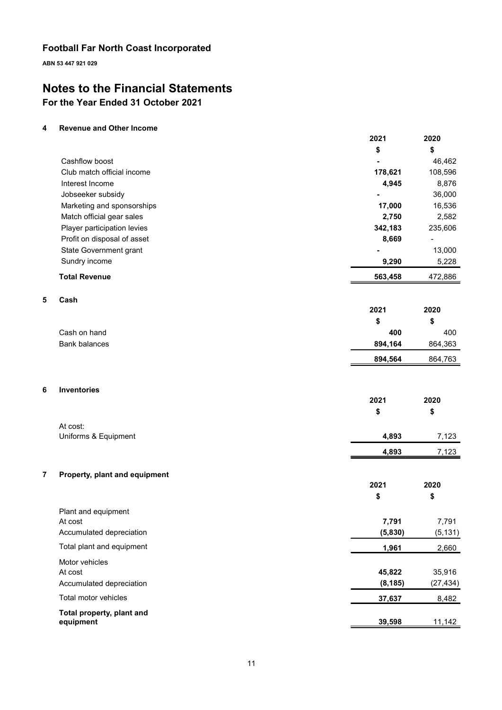ABN 53 447 921 029

# Notes to the Financial Statements

# For the Year Ended 31 October 2021

#### 4 Revenue and Other Income

|                             | 2021    | 2020           |
|-----------------------------|---------|----------------|
|                             | \$      | \$             |
| Cashflow boost              |         | 46,462         |
| Club match official income  | 178,621 | 108,596        |
| Interest Income             | 4,945   | 8,876          |
| Jobseeker subsidy           | ٠       | 36,000         |
| Marketing and sponsorships  | 17,000  | 16,536         |
| Match official gear sales   | 2,750   | 2,582          |
| Player participation levies | 342,183 | 235,606        |
| Profit on disposal of asset | 8,669   | $\blacksquare$ |
| State Government grant      |         | 13,000         |
| Sundry income               | 9,290   | 5,228          |
| <b>Total Revenue</b>        | 563,458 | 472,886        |
| Cash                        |         |                |
|                             | 2021    | 2020           |
|                             | \$      | \$             |

2020

2020

2021

2021

| Cash on hand  | 400     | 400     |
|---------------|---------|---------|
| Bank balances | 894.164 | 864.363 |
|               | 894.564 | 864.763 |

#### 6 Inventories

 $5<sub>5</sub>$ 

|                      | æ     | S     |
|----------------------|-------|-------|
| At cost:             |       |       |
| Uniforms & Equipment | 4,893 | 7,123 |
|                      | 4,893 | 7,123 |

#### 7 Property, plant and equipment

|                           | \$       | \$        |
|---------------------------|----------|-----------|
| Plant and equipment       |          |           |
| At cost                   | 7.791    | 7,791     |
| Accumulated depreciation  | (5,830)  | (5, 131)  |
| Total plant and equipment | 1,961    | 2,660     |
| Motor vehicles            |          |           |
| At cost                   | 45,822   | 35,916    |
| Accumulated depreciation  | (8, 185) | (27, 434) |
| Total motor vehicles      | 37,637   | 8,482     |
| Total property, plant and |          |           |
| equipment                 | 39,598   | 11,142    |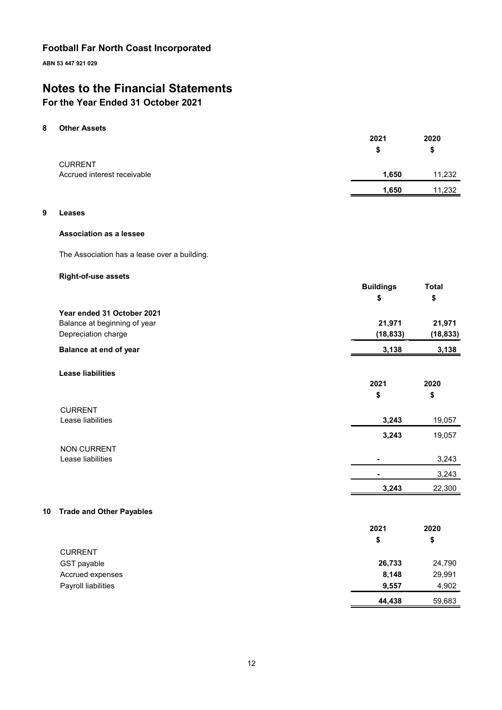ABN 53 447 921 029

# Notes to the Financial Statements

## For the Year Ended 31 October 2021

#### 8 Other Assets

|                             | 2021  | 2020   |
|-----------------------------|-------|--------|
|                             | S     | \$     |
| <b>CURRENT</b>              |       |        |
| Accrued interest receivable | 1,650 | 11,232 |
|                             | 1,650 | 11,232 |

#### 9 Leases

#### Association as a lessee

The Association has a lease over a building.

#### Right-of-use assets

|                |                                 | <b>Buildings</b><br>\$ | <b>Total</b><br>\$ |
|----------------|---------------------------------|------------------------|--------------------|
|                | Year ended 31 October 2021      |                        |                    |
|                | Balance at beginning of year    | 21,971                 | 21,971             |
|                | Depreciation charge             | (18, 833)              | (18, 833)          |
|                | Balance at end of year          | 3,138                  | 3,138              |
|                | <b>Lease liabilities</b>        |                        |                    |
|                |                                 | 2021                   | 2020               |
|                |                                 | \$                     | \$                 |
| <b>CURRENT</b> |                                 |                        |                    |
|                | Lease liabilities               | 3,243                  | 19,057             |
|                |                                 | 3,243                  | 19,057             |
|                | <b>NON CURRENT</b>              |                        |                    |
|                | Lease liabilities               |                        | 3,243              |
|                |                                 |                        | 3,243              |
|                |                                 | 3,243                  | 22,300             |
| 10             | <b>Trade and Other Payables</b> |                        |                    |
|                |                                 | 2021                   | 2020               |
|                |                                 | \$                     | \$                 |
| <b>CURRENT</b> |                                 |                        |                    |

|                     | 44,438 | 59,683 |
|---------------------|--------|--------|
| Payroll liabilities | 9.557  | 4.902  |
| Accrued expenses    | 8.148  | 29,991 |
| GST payable         | 26,733 | 24,790 |
| <b>CURRENT</b>      |        |        |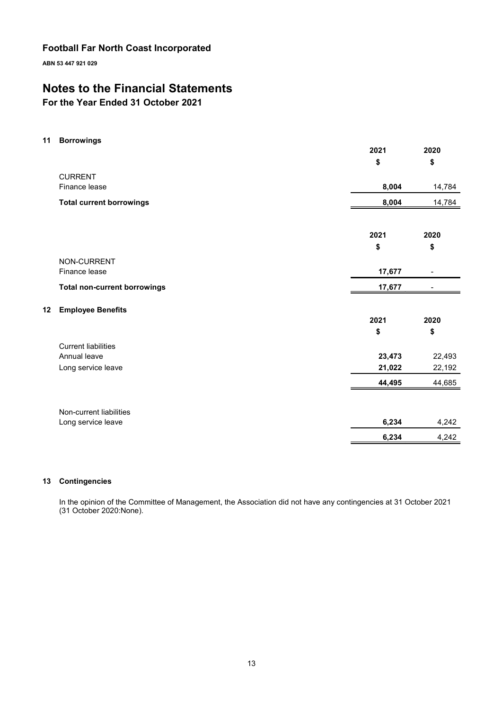ABN 53 447 921 029

# Notes to the Financial Statements

For the Year Ended 31 October 2021

11 Borrowings

|                                     | 2021       | 2020           |
|-------------------------------------|------------|----------------|
|                                     | \$         | \$             |
| <b>CURRENT</b>                      |            |                |
| Finance lease                       | 8,004      | 14,784         |
| <b>Total current borrowings</b>     | 8,004      | 14,784         |
|                                     |            |                |
|                                     | 2021<br>\$ | 2020<br>\$     |
| NON-CURRENT                         |            |                |
| Finance lease                       | 17,677     | $\blacksquare$ |
| <b>Total non-current borrowings</b> | 17,677     |                |
| <b>Employee Benefits</b><br>12      |            |                |
|                                     | 2021       | 2020           |
|                                     | \$         | \$             |
| <b>Current liabilities</b>          |            |                |
| Annual leave                        | 23,473     | 22,493         |
| Long service leave                  | 21,022     | 22,192         |
|                                     | 44,495     | 44,685         |
| Non-current liabilities             |            |                |
| Long service leave                  | 6,234      | 4,242          |
|                                     | 6,234      | 4,242          |

#### 13 Contingencies

In the opinion of the Committee of Management, the Association did not have any contingencies at 31 October 2021 (31 October 2020:None).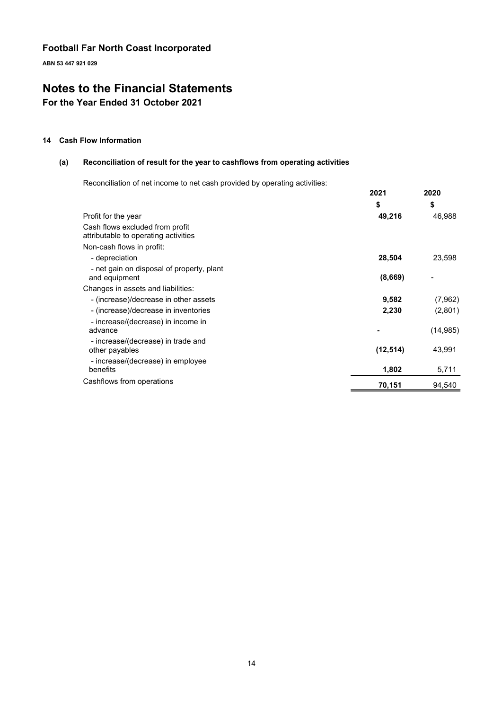ABN 53 447 921 029

# Notes to the Financial Statements

For the Year Ended 31 October 2021

#### 14 Cash Flow Information

#### (a) Reconciliation of result for the year to cashflows from operating activities

Reconciliation of net income to net cash provided by operating activities:

|                                                                         | 2021      | 2020      |
|-------------------------------------------------------------------------|-----------|-----------|
|                                                                         | \$        | \$        |
| Profit for the year                                                     | 49,216    | 46,988    |
| Cash flows excluded from profit<br>attributable to operating activities |           |           |
| Non-cash flows in profit:                                               |           |           |
| - depreciation                                                          | 28,504    | 23,598    |
| - net gain on disposal of property, plant<br>and equipment              | (8,669)   |           |
| Changes in assets and liabilities:                                      |           |           |
| - (increase)/decrease in other assets                                   | 9,582     | (7,962)   |
| - (increase)/decrease in inventories                                    | 2,230     | (2,801)   |
| - increase/(decrease) in income in<br>advance                           |           | (14, 985) |
| - increase/(decrease) in trade and<br>other payables                    | (12, 514) | 43,991    |
| - increase/(decrease) in employee<br>benefits                           | 1,802     | 5,711     |
| Cashflows from operations                                               | 70,151    | 94,540    |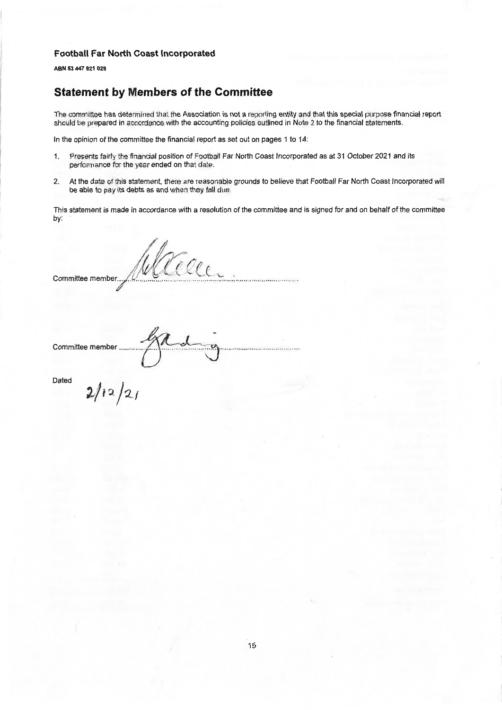ABN 53 447 921 029

# **Statement by Members of the Committee**

The committee has determined that the Association is not a reporting entity and that this special purpose financial report should be prepared in accordance with the accounting policies outlined in Note 2 to the financial statements.

In the opinion of the committee the financial report as set out on pages 1 to 14:

- Presents fairly the financial position of Football Far North Coast Incorporated as at 31 October 2021 and its  $1.$ performance for the year ended on that date.
- $2.$ At the date of this statement, there are reasonable grounds to believe that Football Far North Coast Incorporated will be able to pay its debts as and when they fall due.

This statement is made in accordance with a resolution of the committee and is signed for and on behalf of the committee by:

Teller Committee member.

Committee member ........

Dated

 $2/12/21$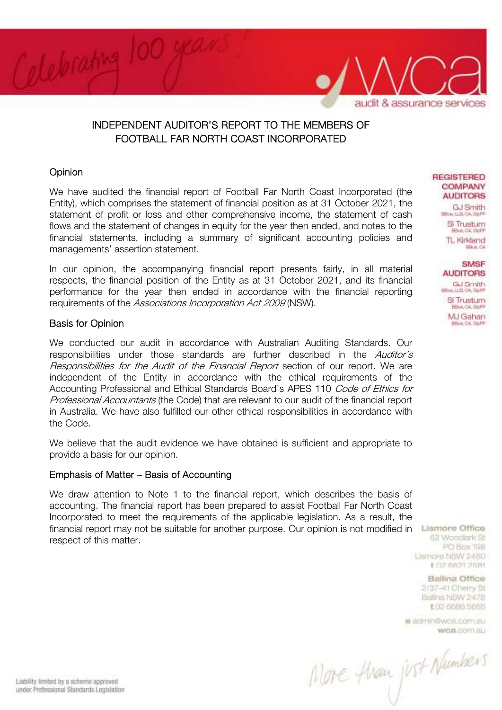

# INDEPENDENT AUDITOR'S REPORT TO THE MEMBERS OF FOOTBALL FAR NORTH COAST INCORPORATED

### **Opinion**

We have audited the financial report of Football Far North Coast Incorporated (the Entity), which comprises the statement of financial position as at 31 October 2021, the statement of profit or loss and other comprehensive income, the statement of cash flows and the statement of changes in equity for the year then ended, and notes to the financial statements, including a summary of significant accounting policies and managements' assertion statement.

In our opinion, the accompanying financial report presents fairly, in all material respects, the financial position of the Entity as at 31 October 2021, and its financial performance for the year then ended in accordance with the financial reporting requirements of the Associations Incorporation Act 2009 (NSW).

### Basis for Opinion

We conducted our audit in accordance with Australian Auditing Standards. Our responsibilities under those standards are further described in the Auditor's Responsibilities for the Audit of the Financial Report section of our report. We are independent of the Entity in accordance with the ethical requirements of the Accounting Professional and Ethical Standards Board's APES 110 Code of Ethics for Professional Accountants (the Code) that are relevant to our audit of the financial report in Australia. We have also fulfilled our other ethical responsibilities in accordance with the Code.

We believe that the audit evidence we have obtained is sufficient and appropriate to provide a basis for our opinion.

#### Emphasis of Matter – Basis of Accounting

We draw attention to Note 1 to the financial report, which describes the basis of accounting. The financial report has been prepared to assist Football Far North Coast Incorporated to meet the requirements of the applicable legislation. As a result, the financial report may not be suitable for another purpose. Our opinion is not modified in **Liamore Office** respect of this matter.

**REGISTERED COMPANY AUDITORS** 

**GJ Smith BRALLIACA DIRE** Si Trustum **HAM, CALDER** TL Kirkland

> **SMSF AUDITORS GJ Gmith** Blue, LLB, CA, DEFP

**BRUCCA** 

Si Trustum BBus, CA DIDFF MJ Gahan Rob CA Da P

62 Woodlark St

PO Box 198 Lismore NSW 2480 102-5621 25时

**Ballina Office** 

2/37-41 Cherry St Ballinii NSW 2478 **t (12 6688 5666)** 

e admin@wca.com.au WOB COTTUBLE

More floan just Numbers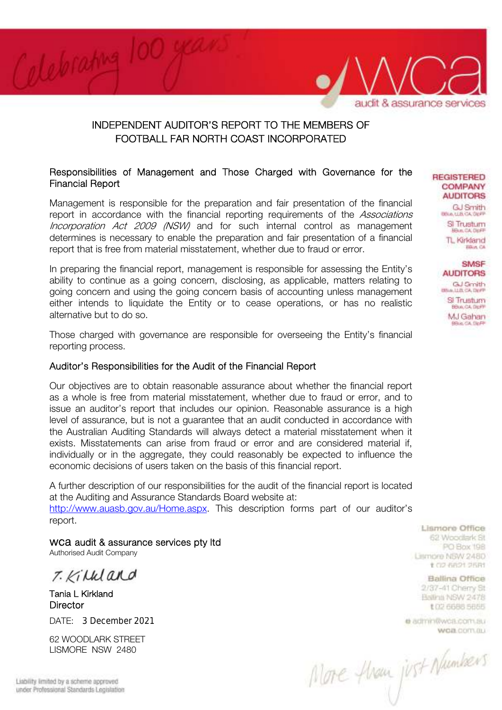

# INDEPENDENT AUDITOR'S REPORT TO THE MEMBERS OF FOOTBALL FAR NORTH COAST INCORPORATED

### Responsibilities of Management and Those Charged with Governance for the Financial Report

Management is responsible for the preparation and fair presentation of the financial report in accordance with the financial reporting requirements of the Associations Incorporation Act 2009 (NSW) and for such internal control as management determines is necessary to enable the preparation and fair presentation of a financial report that is free from material misstatement, whether due to fraud or error.

In preparing the financial report, management is responsible for assessing the Entity's ability to continue as a going concern, disclosing, as applicable, matters relating to going concern and using the going concern basis of accounting unless management either intends to liquidate the Entity or to cease operations, or has no realistic alternative but to do so.

Those charged with governance are responsible for overseeing the Entity's financial reporting process.

#### Auditor's Responsibilities for the Audit of the Financial Report

Our objectives are to obtain reasonable assurance about whether the financial report as a whole is free from material misstatement, whether due to fraud or error, and to issue an auditor's report that includes our opinion. Reasonable assurance is a high level of assurance, but is not a guarantee that an audit conducted in accordance with the Australian Auditing Standards will always detect a material misstatement when it exists. Misstatements can arise from fraud or error and are considered material if, individually or in the aggregate, they could reasonably be expected to influence the economic decisions of users taken on the basis of this financial report.

A further description of our responsibilities for the audit of the financial report is located at the Auditing and Assurance Standards Board website at: http://www.auasb.gov.au/Home.aspx. This description forms part of our auditor's report.

wca audit & assurance services pty ltd Authorised Audit Company

T. Killdard

Tania L Kirkland **Director** 

DATE: 3 December 2021

62 WOODLARK STREET LISMORE NSW 2480

Lismore Office 62 Woodlark St. PO Box 198 Lismore NSW 2480 102-5621 25时

**REGISTERED COMPANY AUDITORS GJ Smith BRALLIACA DIRE** Si Trustum **HAM, CALDER** TL Kirkland **BRUCCA** 

> **SMSF AUDITORS GJ Gmith** Blue, LLB, CA, DEFP Si Trustum BBus, CA DIDFF MJ Gahan Rob CA Da P

**Ballina Office** 2/37-41 Cherry St Ballinii NSW 2478 **t (12 6688 5665)** 

e admin@wca.com.au WOB COTTLIN

More floan just Numbers